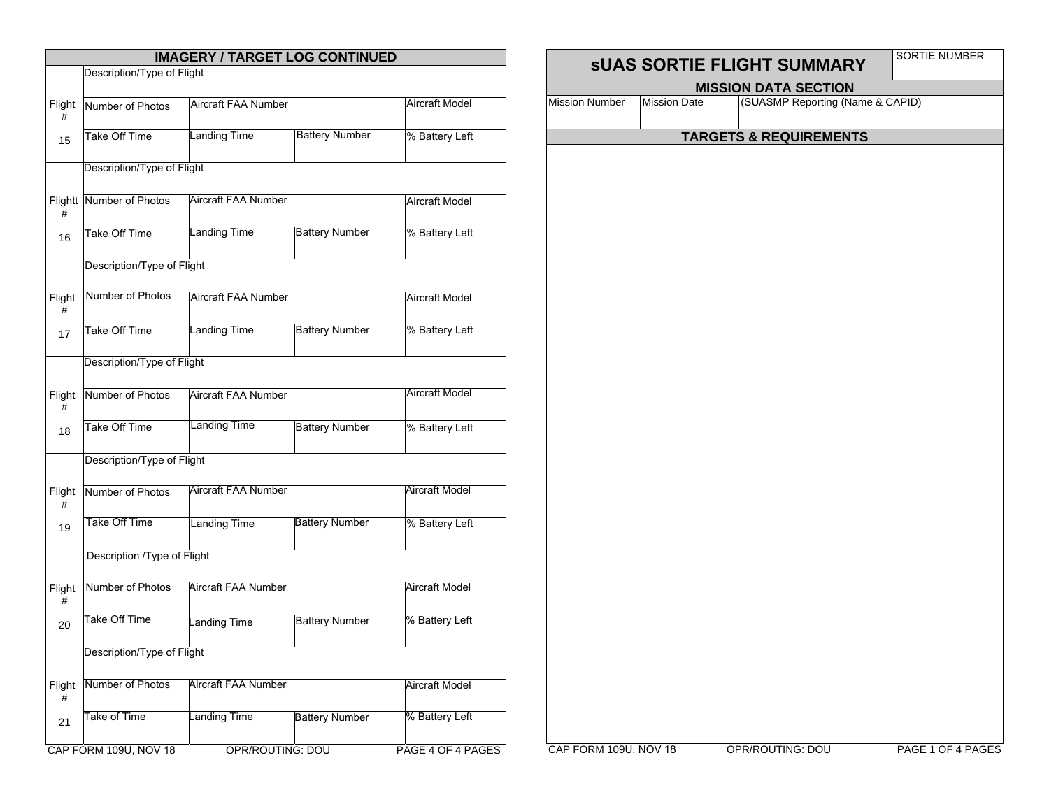| <b>IMAGERY / TARGET LOG CONTINUED</b> |                             |                            |                       |                       |  |  |  |
|---------------------------------------|-----------------------------|----------------------------|-----------------------|-----------------------|--|--|--|
|                                       | Description/Type of Flight  |                            |                       |                       |  |  |  |
| Flight<br>#                           | Number of Photos            | Aircraft FAA Number        |                       | <b>Aircraft Model</b> |  |  |  |
| 15                                    | <b>Take Off Time</b>        | <b>Landing Time</b>        | <b>Battery Number</b> | % Battery Left        |  |  |  |
|                                       | Description/Type of Flight  |                            |                       |                       |  |  |  |
| #                                     | Flightt Number of Photos    | <b>Aircraft FAA Number</b> |                       | <b>Aircraft Model</b> |  |  |  |
| 16                                    | Take Off Time               | <b>Landing Time</b>        | <b>Battery Number</b> | % Battery Left        |  |  |  |
|                                       | Description/Type of Flight  |                            |                       |                       |  |  |  |
| Flight<br>#                           | Number of Photos            | Aircraft FAA Number        |                       | <b>Aircraft Model</b> |  |  |  |
| 17                                    | Take Off Time               | Landing Time               | <b>Battery Number</b> | % Battery Left        |  |  |  |
|                                       | Description/Type of Flight  |                            |                       |                       |  |  |  |
| Flight<br>#                           | Number of Photos            | Aircraft FAA Number        |                       | <b>Aircraft Model</b> |  |  |  |
| 18                                    | Take Off Time               | Landing Time               | <b>Battery Number</b> | % Battery Left        |  |  |  |
|                                       | Description/Type of Flight  |                            |                       |                       |  |  |  |
| Flight<br>#                           | Number of Photos            | <b>Aircraft FAA Number</b> |                       | <b>Aircraft Model</b> |  |  |  |
| 19                                    | Take Off Time               | <b>Landing Time</b>        | Battery Number        | % Battery Left        |  |  |  |
|                                       | Description /Type of Flight |                            |                       |                       |  |  |  |
| Flight<br>#                           | Number of Photos            | Aircraft FAA Number        |                       | Aircraft Model        |  |  |  |
| 20                                    | Take Off Time               | Landing Time               | <b>Battery Number</b> | % Battery Left        |  |  |  |
|                                       | Description/Type of Flight  |                            |                       |                       |  |  |  |
| Flight<br>#                           | Number of Photos            | Aircraft FAA Number        |                       | <b>Aircraft Model</b> |  |  |  |
| 21                                    | Take of Time                | anding Time                | <b>Battery Number</b> | % Battery Left        |  |  |  |
|                                       | CAP FORM 109U, NOV 18       | OPR/ROUTING: DOU           |                       | PAGE 4 OF 4 PAGES     |  |  |  |

## **SUAS SORTIE FLIGHT SUMMARY SORTIE NUMBER MISSION DATA SECTION** Mission Number Mission Date (SUASMP Reporting (Name & CAPID) **TARGETS & REQUIREMENTS**

CAP FORM 109U, NOV